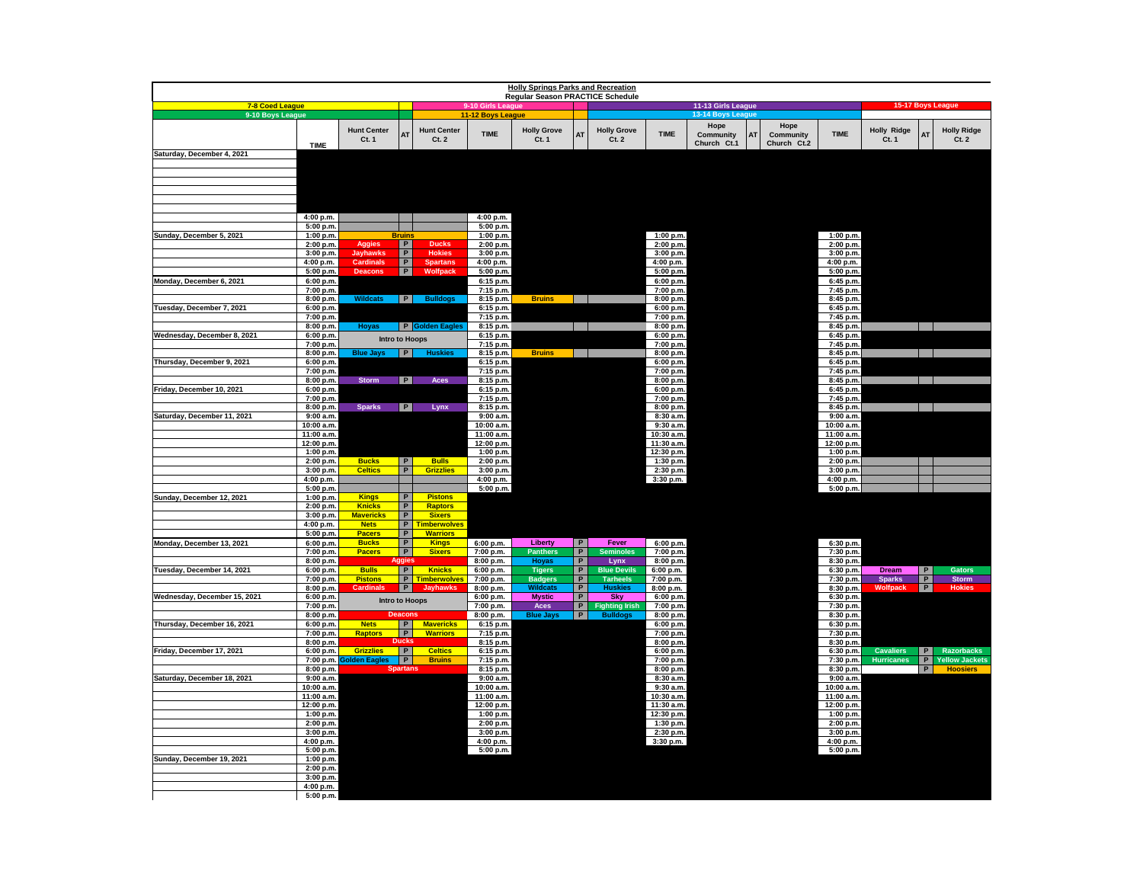| <b>Holly Springs Parks and Recreation</b> |                          |                                |                          |                                        |                                        |                                  |                     |                                          |                            |                    |                 |                          |                                       |                      |                                            |
|-------------------------------------------|--------------------------|--------------------------------|--------------------------|----------------------------------------|----------------------------------------|----------------------------------|---------------------|------------------------------------------|----------------------------|--------------------|-----------------|--------------------------|---------------------------------------|----------------------|--------------------------------------------|
| 7-8 Coed League                           |                          |                                |                          |                                        |                                        | Regular Season PRACTICE Schedule |                     |                                          |                            | 11-13 Girls League |                 |                          |                                       |                      | 15-17 Boys League                          |
| 9-10 Boys League                          |                          |                                |                          |                                        | 9-10 Girls League<br>11-12 Boys League |                                  |                     |                                          |                            | 13-14 Boys League  |                 |                          |                                       |                      |                                            |
|                                           |                          |                                |                          |                                        |                                        |                                  |                     |                                          |                            | Hope               | Hope            |                          |                                       |                      |                                            |
|                                           |                          | <b>Hunt Center</b><br>Ct. 1    | A <sub>1</sub>           | <b>Hunt Center</b><br>Ct.2             | <b>TIME</b>                            | <b>Holly Grove</b><br>Ct. 1      |                     | <b>Holly Grove</b><br>Ct.2               | <b>TIME</b>                | Community          | Community<br>AT | <b>TIME</b>              | <b>Holly Ridge</b><br>Ct.1            | AT                   | <b>Holly Ridge</b><br>Ct.2                 |
|                                           | <b>TIME</b>              |                                |                          |                                        |                                        |                                  |                     |                                          |                            | Church Ct.1        | Church Ct.2     |                          |                                       |                      |                                            |
| Saturday, December 4, 2021                |                          |                                |                          |                                        |                                        |                                  |                     |                                          |                            |                    |                 |                          |                                       |                      |                                            |
|                                           |                          |                                |                          |                                        |                                        |                                  |                     |                                          |                            |                    |                 |                          |                                       |                      |                                            |
|                                           |                          |                                |                          |                                        |                                        |                                  |                     |                                          |                            |                    |                 |                          |                                       |                      |                                            |
|                                           |                          |                                |                          |                                        |                                        |                                  |                     |                                          |                            |                    |                 |                          |                                       |                      |                                            |
|                                           |                          |                                |                          |                                        |                                        |                                  |                     |                                          |                            |                    |                 |                          |                                       |                      |                                            |
|                                           | 4:00 p.m.                |                                |                          |                                        | 4:00 p.m.                              |                                  |                     |                                          |                            |                    |                 |                          |                                       |                      |                                            |
|                                           | 5:00 p.m                 |                                |                          |                                        | 5:00 p.m.                              |                                  |                     |                                          |                            |                    |                 |                          |                                       |                      |                                            |
| Sunday, December 5, 2021                  | 1:00 p.m.                |                                | <b>Bruins</b>            |                                        | 1:00 p.m.                              |                                  |                     |                                          | 1:00 p.m.                  |                    |                 | 1:00 p.m.                |                                       |                      |                                            |
|                                           | 2:00 p.m.                | Aggies                         | P<br>$\, {\bf P}$        | <b>Ducks</b><br><b>Hokies</b>          | 2:00 p.m.                              |                                  |                     |                                          | 2:00 p.m.                  |                    |                 | 2:00 p.m.                |                                       |                      |                                            |
|                                           | 3:00 p.m.<br>4:00 p.m.   | Jayhawks<br><b>Cardinals</b>   | P                        | <b>Spartans</b>                        | 3:00 p.m.<br>4:00 p.m.                 |                                  |                     |                                          | 3:00 p.m.<br>4:00 p.m.     |                    |                 | 3:00 p.m.<br>4:00 p.m.   |                                       |                      |                                            |
|                                           | 5:00 p.m.                | Descont                        | $\overline{P}$           | Wolfpack                               | 5:00 p.m.                              |                                  |                     |                                          | 5:00 p.m.                  |                    |                 | 5:00 p.m.                |                                       |                      |                                            |
| Monday, December 6, 2021                  | 6:00 p.m.                |                                |                          |                                        | 6:15 p.m.                              |                                  |                     |                                          | 6:00 p.m.                  |                    |                 | 6:45 p.m.                |                                       |                      |                                            |
|                                           | 7:00 p.m.                |                                |                          |                                        | 7:15 p.m.                              |                                  |                     |                                          | 7:00 p.m.                  |                    |                 | 7:45 p.m.                |                                       |                      |                                            |
| Tuesday, December 7, 2021                 | 8:00 p.m.<br>6:00 p.m.   | <b>Wildcats</b>                |                          | $ P $ Bulldogs                         | 8:15 p.m.<br>6:15 p.m.                 | <b>Bruins</b>                    | and the property    |                                          | 8:00 p.m.<br>6:00 p.m.     |                    |                 | 8:45 p.m.<br>6:45 p.m.   |                                       |                      |                                            |
|                                           | 7:00 p.m.                |                                |                          |                                        | 7:15 p.m.                              |                                  |                     |                                          | 7:00 p.m.                  |                    |                 | 7:45 p.m.                |                                       |                      |                                            |
|                                           | 8:00 p.m.                | Hoyas                          |                          | P Golden Eagles                        | 8:15 p.m.                              |                                  |                     |                                          | 8:00 p.m.                  |                    |                 | 8:45 p.m.                |                                       | $\mathbf{1}$         |                                            |
| Wednesday, December 8, 2021               | 6:00 p.m.                |                                | <b>Intro to Hoops</b>    |                                        | 6:15 p.m.                              |                                  |                     |                                          | 6:00 p.m.                  |                    |                 | 6:45 p.m.                |                                       |                      |                                            |
|                                           | 7:00 p.m.<br>8:00 p.m.   | <b>Blue Jays</b>               | P                        | <b>Huskies</b>                         | 7:15 p.m.<br>8:15 p.m.                 | <b>Bruins</b>                    |                     |                                          | 7:00 p.m.<br>8:00 p.m.     |                    |                 | 7:45 p.m.<br>8:45 p.m.   |                                       |                      |                                            |
| Thursday, December 9, 2021                | 6:00 p.m.                |                                |                          |                                        | 6:15 p.m.                              |                                  |                     |                                          | 6:00 p.m.                  |                    |                 | 6:45 p.m.                |                                       |                      |                                            |
|                                           | 7:00 p.m.                |                                |                          |                                        | 7:15 p.m.                              |                                  |                     |                                          | 7:00 p.m.                  |                    |                 | 7:45 p.m.                |                                       |                      |                                            |
|                                           | 8:00 p.m.                | <b>Storm</b>                   | P                        | <b>Aces</b>                            | 8:15 p.m.                              |                                  |                     |                                          | 8:00 p.m.                  |                    |                 | 8:45 p.m.                |                                       |                      |                                            |
| Friday, December 10, 2021                 | 6:00 p.m.<br>7:00 p.m.   |                                |                          |                                        | 6:15 p.m.<br>7:15 p.m.                 |                                  |                     |                                          | 6:00 p.m.<br>7:00 p.m.     |                    |                 | 6:45 p.m.<br>7:45 p.m.   |                                       |                      |                                            |
|                                           | 8:00 p.m.                | <b>Sparks</b>                  | P                        | Lynx                                   | 8:15 p.m.                              |                                  |                     |                                          | 8:00 p.m.                  |                    |                 | 8:45 p.m.                |                                       |                      |                                            |
| Saturday, December 11, 2021               | 9:00 a.m.                |                                |                          |                                        | 9:00a.m.                               |                                  |                     |                                          | 8:30 a.m.                  |                    |                 | 9:00a.m.                 |                                       |                      |                                            |
|                                           | 10:00 a.m.               |                                |                          |                                        | 10:00 a.m.                             |                                  |                     |                                          | 9:30 a.m.                  |                    |                 | 10:00 a.m.               |                                       |                      |                                            |
|                                           | 11:00 a.m.<br>12:00 p.m. |                                |                          |                                        | 11:00 a.m.<br>12:00 p.m.               |                                  |                     |                                          | 10:30 a.m.<br>$11:30$ a.m. |                    |                 | 11:00 a.m.<br>12:00 p.m. |                                       |                      |                                            |
|                                           | 1:00 p.m.                |                                |                          |                                        | 1:00 p.m.                              |                                  |                     |                                          | 12:30 p.m.                 |                    |                 | 1:00 p.m.                |                                       |                      |                                            |
|                                           | 2:00 p.m.                | <b>Bucks</b>                   | P                        | <b>Bulls</b>                           | 2:00 p.m.                              |                                  |                     |                                          | 1:30 p.m.                  |                    |                 | 2:00 p.m.                |                                       |                      |                                            |
|                                           | 3:00 p.m.                | <b>Celtics</b>                 | $\overline{P}$           | <b>Grizzlies</b>                       | 3:00 p.m.                              |                                  |                     |                                          | 2:30 p.m.                  |                    |                 | 3:00 p.m.                |                                       |                      |                                            |
|                                           | 4:00 p.m.<br>5:00 p.m.   |                                |                          |                                        | 4:00 p.m.<br>5:00 p.m.                 |                                  |                     |                                          | 3:30 p.m.                  |                    |                 | 4:00 p.m.<br>5:00 p.m.   |                                       |                      |                                            |
| Sunday, December 12, 2021                 | 1:00 p.m.                | <b>Kings</b>                   | P                        | <b>Pistons</b>                         |                                        |                                  |                     |                                          |                            |                    |                 |                          |                                       |                      |                                            |
|                                           | 2:00 p.m.                | <b>Knicks</b>                  | P                        | <b>Raptors</b>                         |                                        |                                  |                     |                                          |                            |                    |                 |                          |                                       |                      |                                            |
|                                           | 3:00 p.m.                | <b>Mavericks</b>               | P                        | <b>Sixers</b>                          |                                        |                                  |                     |                                          |                            |                    |                 |                          |                                       |                      |                                            |
|                                           | 4:00 p.m.<br>5:00 p.m.   | <b>Nets</b><br><b>Pacers</b>   | P<br>P                   | <b>Timberwolves</b><br><b>Warriors</b> |                                        |                                  |                     |                                          |                            |                    |                 |                          |                                       |                      |                                            |
| Monday, December 13, 2021                 | 6:00 p.m.                | <b>Bucks</b>                   | P                        | <b>Kings</b>                           | 6:00 p.m.                              | Liberty                          | P                   | Fever                                    | 6:00 p.m.                  |                    |                 | 6:30 p.m.                |                                       |                      |                                            |
|                                           | 7:00 p.m.                | <b>Pacers</b>                  | P                        | <b>Sixers</b>                          | 7:00 p.m.                              | <b>Panthers</b>                  | P                   | <b>Seminoles</b>                         | 7:00 p.m.                  |                    |                 | 7:30 p.m.                |                                       |                      |                                            |
|                                           | 8:00 p.m.                |                                | .ggie:<br>$\overline{P}$ |                                        | 8:00 p.m.                              | <b>Hoyas</b>                     | $\overline{P}$      | Lynx                                     | 8:00 p.m.                  |                    |                 | 8:30 p.m.                |                                       |                      |                                            |
| Tuesday, December 14, 2021                | 6:00 p.m.<br>7:00 p.m.   | <b>Bulls</b><br><b>Pistons</b> |                          | <b>Knicks</b><br>P Timberwolves        | 6:00 p.m.<br>7:00 p.m.                 | <b>Tigers</b><br><b>Badgers</b>  | P<br>$\overline{P}$ | <b>Blue Devils</b><br><b>Tarheels</b>    | 6:00 p.m.<br>7:00 p.m.     |                    |                 | 6:30 p.m.<br>7:30 p.m.   | <b>Dream</b><br><b>Sparks</b>         | P <br>$\overline{P}$ | Gators<br><b>Storm</b>                     |
|                                           | 8:00 p.m.                | <b>Cardinals</b>               | $\overline{P}$           | <b>Jayhawks</b>                        | 8:00 p.m.                              | <b>Wildcats</b>                  | P                   | <b>Huskies</b>                           | 8:00 p.m.                  |                    |                 | 8:30 p.m.                | Wolfpac                               | P                    | <b>Hokie</b>                               |
| Wednesday, December 15, 2021              | 6:00 p.m.                |                                | <b>Intro to Hoops</b>    |                                        | 6:00 p.m.                              | <b>Mystic</b>                    | P                   | Sky                                      | 6:00 p.m.                  |                    |                 | 6:30 p.m.                |                                       |                      |                                            |
|                                           | 7:00 p.m.                |                                | <b>Deacons</b>           |                                        | 7:00 p.m.                              | Aces                             | P<br>$\overline{P}$ | <b>Fighting Irish</b><br><b>Bulldogs</b> | 7:00 p.m.                  |                    |                 | 7:30 p.m.                |                                       |                      |                                            |
| Thursday, December 16, 2021               | 8:00 p.m.<br>6:00 p.m.   | <b>Nets</b>                    | P                        | <b>Mavericks</b>                       | 8:00 p.m.<br>6:15 p.m.                 | <b>Blue Jays</b>                 |                     |                                          | 8:00 p.m.<br>6:00 p.m.     |                    |                 | 8:30 p.m.<br>6:30 p.m.   |                                       |                      |                                            |
|                                           | 7:00 p.m.                | <b>Raptors</b>                 | P                        | <b>Warriors</b>                        | 7:15 p.m.                              |                                  |                     |                                          | 7:00 p.m.                  |                    |                 | 7:30 p.m.                |                                       |                      |                                            |
|                                           | 8:00 p.m.                |                                | Ducks                    |                                        | 8:15 p.m.                              |                                  |                     |                                          | 8:00 p.m.                  |                    |                 | 8:30 p.m.                |                                       |                      |                                            |
| Friday, December 17, 2021                 | 6:00 p.m.                | <b>Grizzlies</b><br>olden Eagl | P<br>P                   | <b>Celtics</b><br><b>Bruins</b>        | 6:15 p.m.                              |                                  |                     |                                          | 6:00 p.m.                  |                    |                 | 6:30 p.m.                | <b>Cavaliers</b><br><b>Hurricanes</b> | P<br>P               | <b>Razorbacks</b><br><b>Yellow Jackets</b> |
|                                           | 7:00 p.m.<br>8:00 p.m.   |                                | <b>Spartans</b>          |                                        | 7:15 p.m.<br>8:15 p.m.                 |                                  |                     |                                          | 7:00 p.m.<br>8:00 p.m.     |                    |                 | 7:30 p.m.<br>8:30 p.m.   |                                       | P                    | <b>Hoosiers</b>                            |
| Saturday, December 18, 2021               | 9:00 a.m.                |                                |                          |                                        | 9:00a.m.                               |                                  |                     |                                          | 8:30 a.m.                  |                    |                 | 9:00a.m.                 |                                       |                      |                                            |
|                                           | 10:00 a.m.               |                                |                          |                                        | 10:00 a.m.                             |                                  |                     |                                          | 9:30 a.m.                  |                    |                 | 10:00 a.m.               |                                       |                      |                                            |
|                                           | 11:00 a.m.<br>12:00 p.m. |                                |                          |                                        | 11:00 a.m.                             |                                  |                     |                                          | 10:30 a.m.<br>11:30 a.m.   |                    |                 | 11:00 a.m.               |                                       |                      |                                            |
|                                           | 1:00 p.m.                |                                |                          |                                        | 12:00 p.m.<br>1:00 p.m.                |                                  |                     |                                          | 12:30 p.m.                 |                    |                 | 12:00 p.m.<br>1:00 p.m.  |                                       |                      |                                            |
|                                           | 2:00 p.m.                |                                |                          |                                        | 2:00 p.m.                              |                                  |                     |                                          | 1:30 p.m.                  |                    |                 | 2:00 p.m.                |                                       |                      |                                            |
|                                           | 3:00 p.m.                |                                |                          |                                        | 3:00 p.m.                              |                                  |                     |                                          | 2:30 p.m.                  |                    |                 | 3:00 p.m.                |                                       |                      |                                            |
|                                           | 4:00 p.m.                |                                |                          |                                        | 4:00 p.m.                              |                                  |                     |                                          | 3:30 p.m.                  |                    |                 | 4:00 p.m.                |                                       |                      |                                            |
| Sunday, December 19, 2021                 | 5:00 p.m.<br>1:00 p.m.   |                                |                          |                                        | 5:00 p.m.                              |                                  |                     |                                          |                            |                    |                 | 5:00 p.m.                |                                       |                      |                                            |
|                                           | 2:00 p.m.                |                                |                          |                                        |                                        |                                  |                     |                                          |                            |                    |                 |                          |                                       |                      |                                            |
|                                           | 3:00 p.m.                |                                |                          |                                        |                                        |                                  |                     |                                          |                            |                    |                 |                          |                                       |                      |                                            |
|                                           | 4:00 p.m.                |                                |                          |                                        |                                        |                                  |                     |                                          |                            |                    |                 |                          |                                       |                      |                                            |
|                                           | 5:00 p.m.                |                                |                          |                                        |                                        |                                  |                     |                                          |                            |                    |                 |                          |                                       |                      |                                            |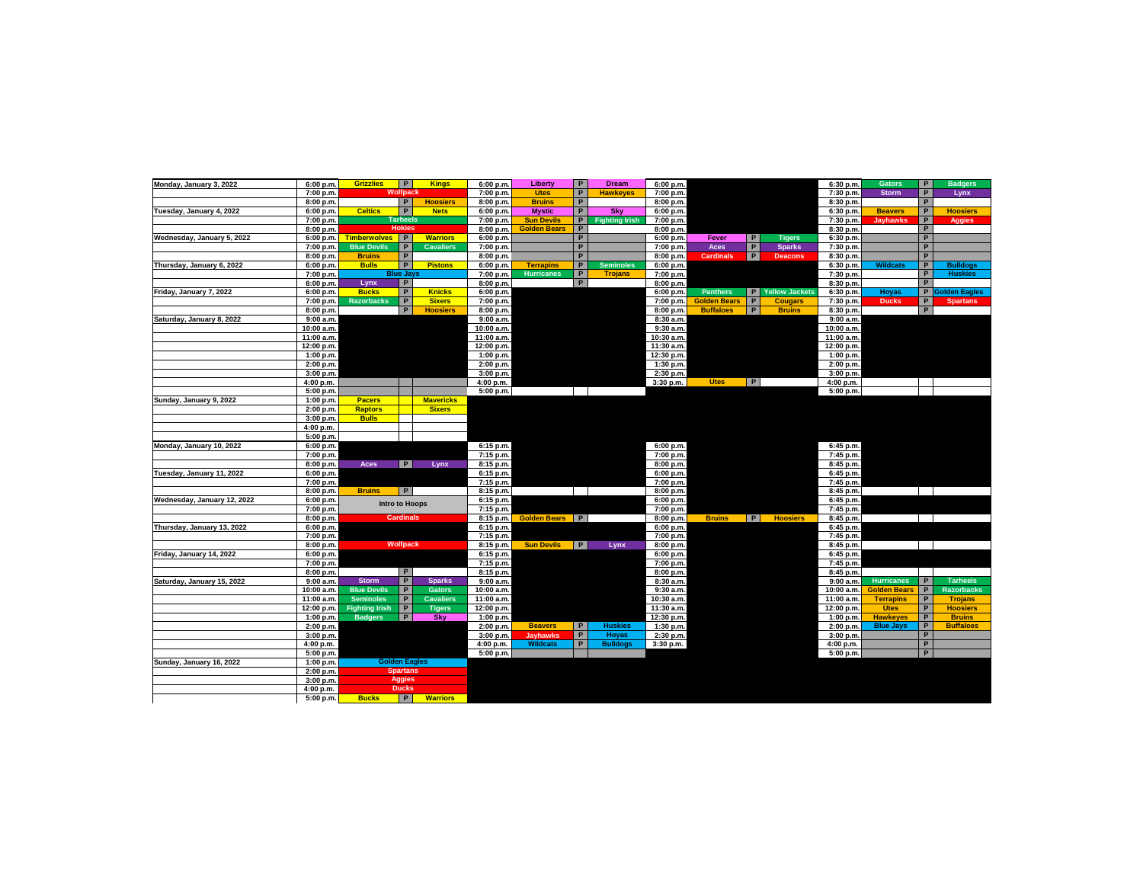| Monday, January 3, 2022     | 6:00 p.m.  | <b>Grizzlies</b>      | P                     | <b>Kings</b>     | 6:00 p.m.   | Liberty             | $\overline{P}$ | <b>Dream</b>          | 6:00 p.m.  |                     |   |                  | 6:30 p.m.  | <b>Gators</b>       | P              | <b>Badgers</b>    |
|-----------------------------|------------|-----------------------|-----------------------|------------------|-------------|---------------------|----------------|-----------------------|------------|---------------------|---|------------------|------------|---------------------|----------------|-------------------|
|                             | 7:00 p.m.  |                       | Wolfpack              |                  | 7:00 p.m.   | <b>Utes</b>         | $\overline{P}$ | <b>Hawkeyes</b>       | 7:00 p.m.  |                     |   |                  | 7:30 p.m.  | <b>Storm</b>        | P              | Lynx              |
|                             | 8:00 p.m.  |                       | P                     | <b>Hoosiers</b>  | 8:00 p.m.   | <b>Bruins</b>       | $\overline{P}$ |                       | 8:00 p.m.  |                     |   |                  | 8:30 p.m.  |                     | P              |                   |
| Tuesday, January 4, 2022    | 6:00 p.m.  | <b>Celtics</b>        | P                     | <b>Nets</b>      | 6:00 p.m.   | <b>Mystic</b>       | P              | <b>Sky</b>            | 6:00 p.m.  |                     |   |                  | 6:30 p.m.  | <b>Beavers</b>      | P              | <b>Hoosiers</b>   |
|                             | 7:00 p.m.  |                       | <b>Tarheels</b>       |                  | 7:00 p.m.   | <b>Sun Devils</b>   | P              | <b>Fighting Irish</b> | 7:00 p.m.  |                     |   |                  | 7:30 p.m.  | <b>Jayhawks</b>     | P              | <b>Aggies</b>     |
|                             | 8:00 p.m.  |                       | <b>Hokies</b>         |                  | 8:00 p.m.   | <b>Golden Bears</b> | $\mathsf{P}$   |                       | 8:00 p.m.  |                     |   |                  | 8:30 p.m.  |                     | P              |                   |
| Wednesday, January 5, 2022  | 6:00 p.m.  | Timberwolves P        |                       | <b>Warriors</b>  | 6:00 p.m.   |                     | P              |                       | 6:00 p.m.  | Fever               | P | <b>Tigers</b>    | 6:30 p.m.  |                     | P              |                   |
|                             | 7:00 p.m.  | <b>Blue Devils</b>    | $\mathsf{P}$          | <b>Cavaliers</b> | 7:00 p.m.   |                     | $\overline{P}$ |                       | 7:00 p.m.  | Aces                | P | <b>Sparks</b>    | 7:30 p.m.  |                     | $\overline{P}$ |                   |
|                             | 8:00 p.m.  | <b>Bruins</b>         | $\, {\bf P}$          |                  | 8:00 p.m.   |                     | $\overline{P}$ |                       | 8:00 p.m.  | <b>Cardinals</b>    | P | <b>Deacons</b>   | 8:30 p.m   |                     | P              |                   |
| Thursday, January 6, 2022   | 6:00 p.m.  | <b>Bulls</b>          | $\overline{P}$        | <b>Pistons</b>   | 6:00 p.m.   | <b>Terrapins</b>    | P              | <b>Seminoles</b>      | 6:00 p.m.  |                     |   |                  | 6:30 p.m.  | <b>Wildcats</b>     | P              | <b>Bulldogs</b>   |
|                             | 7:00 p.m.  |                       | <b>Blue Jays</b>      |                  | 7:00 p.m.   | <b>Hurricanes</b>   | P              | <b>Trojans</b>        | 7:00 p.m.  |                     |   |                  | 7:30 p.m.  |                     | P              | <b>Huskies</b>    |
|                             | 8:00 p.m.  | Lynx                  | P                     |                  | 8:00 p.m.   |                     | P              |                       | 8:00 p.m.  |                     |   |                  | 8:30 p.m.  |                     | P              |                   |
| Friday, January 7, 2022     | 6:00 p.m.  | <b>Bucks</b>          | $\overline{P}$        | <b>Knicks</b>    | 6:00 p.m.   |                     |                |                       | 6:00 p.m.  | <b>Panthers</b>     |   | P Yellow Jackets | 6:30 p.m.  | Hoyas               |                | P Golden Eagles   |
|                             | 7:00 p.m.  | <b>Razorbacks</b>     | $\overline{P}$        | <b>Sixers</b>    | 7:00 p.m.   |                     |                |                       | 7:00 p.m.  | <b>Golden Bears</b> | P | <b>Cougars</b>   | 7:30 p.m.  | <b>Ducks</b>        | P              | <b>Spartans</b>   |
|                             | 8:00 p.m.  |                       | P                     | <b>Hoosiers</b>  | 8:00 p.m.   |                     |                |                       | 8:00 p.m.  | <b>Buffaloes</b>    | P | <b>Bruins</b>    | 8:30 p.m.  |                     | P              |                   |
| Saturday, January 8, 2022   | 9:00a.m.   |                       |                       |                  | 9:00a.m.    |                     |                |                       | 8:30 a.m.  |                     |   |                  | 9:00a.m.   |                     |                |                   |
|                             | 10:00 a.m. |                       |                       |                  | 10:00 a.m.  |                     |                |                       | 9:30 a.m.  |                     |   |                  | 10:00 a.m. |                     |                |                   |
|                             | 11:00 a.m. |                       |                       |                  | 11:00 a.m.  |                     |                |                       | 10:30 a.m. |                     |   |                  | 11:00 a.m. |                     |                |                   |
|                             | 12:00 p.m. |                       |                       |                  | 12:00 p.m.  |                     |                |                       | 11:30 a.m. |                     |   |                  | 12:00 p.m. |                     |                |                   |
|                             | 1:00 p.m.  |                       |                       |                  | 1:00 p.m.   |                     |                |                       | 12:30 p.m. |                     |   |                  | 1:00 p.m.  |                     |                |                   |
|                             | 2:00 p.m.  |                       |                       |                  | 2:00 p.m.   |                     |                |                       | 1:30 p.m.  |                     |   |                  | 2:00 p.m.  |                     |                |                   |
|                             | 3:00 p.m.  |                       |                       |                  | 3:00 p.m.   |                     |                |                       | 2:30 p.m.  |                     |   |                  | 3:00 p.m.  |                     |                |                   |
|                             | 4:00 p.m.  |                       |                       |                  | 4:00 p.m.   |                     |                |                       | 3:30 p.m.  | <b>Utes</b>         | P |                  | 4:00 p.m.  |                     |                |                   |
|                             | 5:00 p.m.  |                       |                       |                  | 5:00 p.m.   |                     |                |                       |            |                     |   |                  | 5:00 p.m.  |                     |                |                   |
| Sunday, January 9, 2022     | 1:00 p.m.  | <b>Pacers</b>         |                       | <b>Mavericks</b> |             |                     |                |                       |            |                     |   |                  |            |                     |                |                   |
|                             | 2:00 p.m.  | <b>Raptors</b>        |                       | <b>Sixers</b>    |             |                     |                |                       |            |                     |   |                  |            |                     |                |                   |
|                             | 3:00 p.m.  | <b>Bulls</b>          |                       |                  |             |                     |                |                       |            |                     |   |                  |            |                     |                |                   |
|                             | 4:00 p.m.  |                       |                       |                  |             |                     |                |                       |            |                     |   |                  |            |                     |                |                   |
|                             | 5:00 p.m.  |                       |                       |                  |             |                     |                |                       |            |                     |   |                  |            |                     |                |                   |
| Monday, January 10, 2022    | 6:00 p.m.  |                       |                       |                  | 6:15 p.m.   |                     |                |                       | 6:00 p.m.  |                     |   |                  | 6:45 p.m.  |                     |                |                   |
|                             | 7:00 p.m.  |                       |                       |                  | 7:15 p.m.   |                     |                |                       | 7:00 p.m.  |                     |   |                  | 7:45 p.m.  |                     |                |                   |
|                             | 8:00 p.m.  | <b>Aces</b>           | P                     | Lynx             | 8:15 p.m.   |                     |                |                       | 8:00 p.m.  |                     |   |                  | 8:45 p.m.  |                     |                |                   |
| Tuesday, January 11, 2022   | 6:00 p.m.  |                       |                       |                  | 6:15 p.m.   |                     |                |                       | 6:00 p.m.  |                     |   |                  | 6:45 p.m.  |                     |                |                   |
|                             | 7:00 p.m.  |                       |                       |                  | 7:15 p.m.   |                     |                |                       | 7:00 p.m.  |                     |   |                  | 7:45 p.m.  |                     |                |                   |
|                             | 8:00 p.m.  | <b>Bruins</b>         | P                     |                  | 8:15 p.m.   |                     |                |                       | 8:00 p.m.  |                     |   |                  | 8:45 p.m.  |                     |                |                   |
| Wednesday, January 12, 2022 | 6:00 p.m.  |                       | <b>Intro to Hoops</b> |                  | 6:15 p.m.   |                     |                |                       | 6:00 p.m.  |                     |   |                  | 6:45 p.m.  |                     |                |                   |
|                             | 7:00 p.m.  |                       |                       |                  | 7:15 p.m.   |                     |                |                       | 7:00 p.m.  |                     |   |                  | 7:45 p.m.  |                     |                |                   |
|                             | 8:00 p.m.  |                       | <b>Cardinals</b>      |                  | 8:15 p.m.   | <b>Golden Bears</b> | P              |                       | 8:00 p.m.  | <b>Bruins</b>       | P | <b>Hoosiers</b>  | 8:45 p.m.  |                     |                |                   |
| Thursday, January 13, 2022  | 6:00 p.m.  |                       |                       |                  | 6:15 p.m.   |                     |                |                       | 6:00 p.m.  |                     |   |                  | 6:45 p.m.  |                     |                |                   |
|                             | 7:00 p.m.  |                       |                       |                  | 7:15 p.m.   |                     |                |                       | 7:00 p.m.  |                     |   |                  | 7:45 p.m.  |                     |                |                   |
|                             | 8:00 p.m.  |                       | <b>Wolfpack</b>       |                  | 8:15 p.m.   | <b>Sun Devils</b>   | P              | Lynx                  | 8:00 p.m.  |                     |   |                  | 8:45 p.m.  |                     |                |                   |
| Friday, January 14, 2022    | 6:00 p.m.  |                       |                       |                  | 6:15 p.m.   |                     |                |                       | 6:00 p.m.  |                     |   |                  | 6:45 p.m.  |                     |                |                   |
|                             | 7:00 p.m.  |                       |                       |                  | $7:15$ p.m. |                     |                |                       | 7:00 p.m.  |                     |   |                  | 7:45 p.m.  |                     |                |                   |
|                             | 8:00 p.m.  |                       | P                     |                  | 8:15 p.m.   |                     |                |                       | 8:00 p.m.  |                     |   |                  | 8:45 p.m.  |                     |                |                   |
| Saturday, January 15, 2022  | 9:00a.m.   | <b>Storm</b>          | P                     | <b>Sparks</b>    | 9:00a.m.    |                     |                |                       | 8:30 a.m.  |                     |   |                  | 9:00a.m.   | <b>Hurricanes</b>   | P              | <b>Tarheels</b>   |
|                             | 10:00 a.m. | <b>Blue Devils</b>    | $\, {\bf P}$          | <b>Gators</b>    | 10:00 a.m.  |                     |                |                       | 9:30 a.m.  |                     |   |                  | 10:00 a.m. | <b>Golden Bears</b> | $\mathsf{P}$   | <b>Razorbacks</b> |
|                             | 11:00 a.m. | <b>Seminoles</b>      | $\, {\bf P}$          | <b>Cavaliers</b> | 11:00 a.m.  |                     |                |                       | 10:30 a.m. |                     |   |                  | 11:00 a.m. | <b>Terrapins</b>    | P              | <b>Trojans</b>    |
|                             | 12:00 p.m. | <b>Fighting Irish</b> | $\overline{P}$        | <b>Tigers</b>    | 12:00 p.m.  |                     |                |                       | 11:30 a.m. |                     |   |                  | 12:00 p.m. | <b>Utes</b>         | P              | <b>Hoosiers</b>   |
|                             | 1:00 p.m.  | <b>Badgers</b>        | P                     | <b>Sky</b>       | 1:00 p.m.   |                     |                |                       | 12:30 p.m. |                     |   |                  | 1:00 p.m.  | <b>Hawkeves</b>     | P              | <b>Bruins</b>     |
|                             | 2:00 p.m.  |                       |                       |                  | 2:00 p.m.   | <b>Beavers</b>      | P              | <b>Huskies</b>        | 1:30 p.m.  |                     |   |                  | 2:00 p.m.  | <b>Blue Jays</b>    | P              | <b>Buffaloes</b>  |
|                             | 3:00 p.m.  |                       |                       |                  | 3:00 p.m.   | <b>Jayhawks</b>     | P              | <b>Hoyas</b>          | 2:30 p.m.  |                     |   |                  | 3:00 p.m.  |                     | P              |                   |
|                             | 4:00 p.m.  |                       |                       |                  | 4:00 p.m.   | <b>Wildcats</b>     | P              | <b>Bulldogs</b>       | 3:30 p.m.  |                     |   |                  | 4:00 p.m.  |                     | P              |                   |
|                             | 5:00 p.m.  |                       |                       |                  | 5:00 p.m.   |                     |                |                       |            |                     |   |                  | 5:00 p.m.  |                     | P              |                   |
| Sunday, January 16, 2022    | 1:00 p.m.  |                       | <b>Golden Eagles</b>  |                  |             |                     |                |                       |            |                     |   |                  |            |                     |                |                   |
|                             | 2:00 p.m.  |                       | <b>Spartans</b>       |                  |             |                     |                |                       |            |                     |   |                  |            |                     |                |                   |
|                             | 3:00 p.m.  |                       | <b>Aggies</b>         |                  |             |                     |                |                       |            |                     |   |                  |            |                     |                |                   |
|                             | 4:00 p.m.  |                       | <b>Ducks</b>          |                  |             |                     |                |                       |            |                     |   |                  |            |                     |                |                   |
|                             | 5:00 p.m.  | <b>Bucks</b>          | P                     | <b>Warriors</b>  |             |                     |                |                       |            |                     |   |                  |            |                     |                |                   |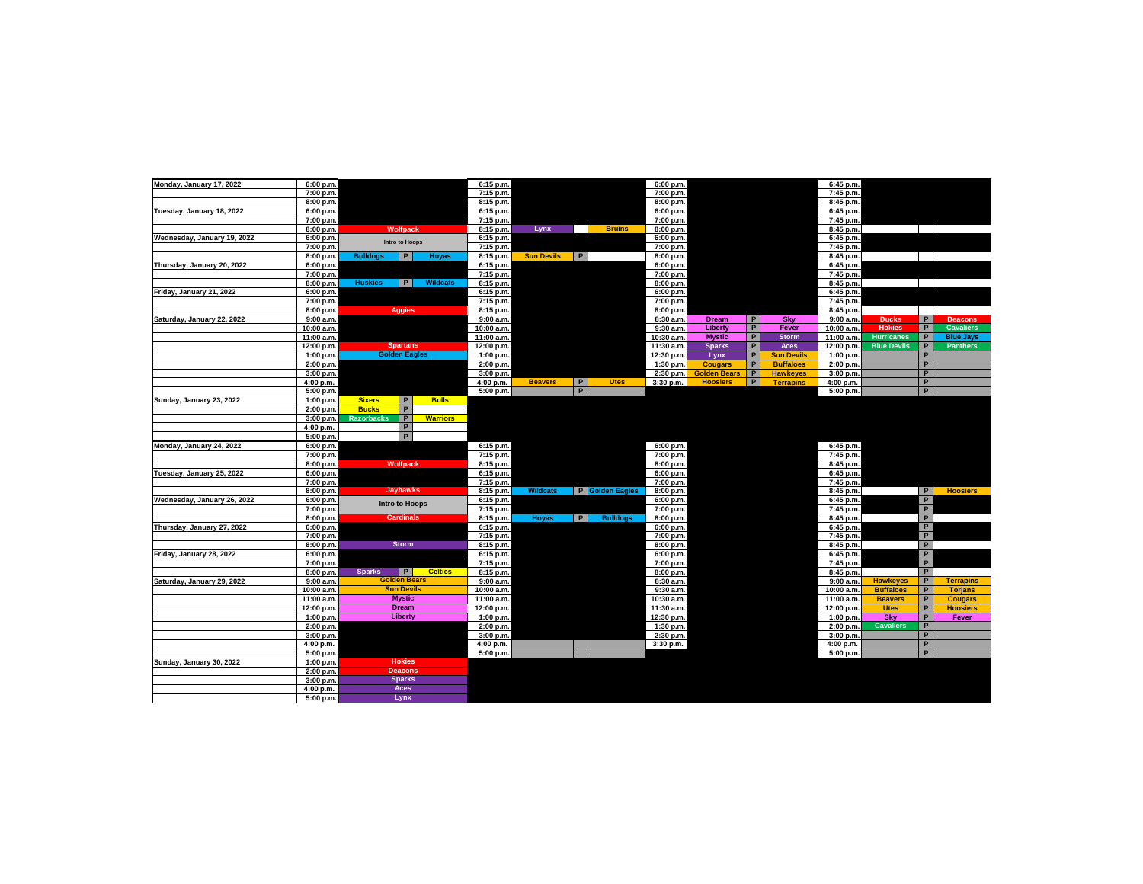| Monday, January 17, 2022    | 6:00 p.m.               |                                                        | 6:15 p.m.               |                   |   |                 | 6:00 p.m.                |                     |                |                   | 6:45 p.m.                |                               |                     |                  |
|-----------------------------|-------------------------|--------------------------------------------------------|-------------------------|-------------------|---|-----------------|--------------------------|---------------------|----------------|-------------------|--------------------------|-------------------------------|---------------------|------------------|
|                             | 7:00 p.m.               |                                                        | 7:15 p.m.               |                   |   |                 | 7:00 p.m.                |                     |                |                   | 7:45 p.m.                |                               |                     |                  |
|                             | 8:00 p.m.               |                                                        | 8:15 p.m.               |                   |   |                 | 8:00 p.m.                |                     |                |                   | 8:45 p.m.                |                               |                     |                  |
| Tuesday, January 18, 2022   | 6:00 p.m.               |                                                        | 6:15 p.m.               |                   |   |                 | 6:00 p.m.                |                     |                |                   | 6:45 p.m.                |                               |                     |                  |
|                             | 7:00 p.m.               |                                                        | 7:15 p.m.               |                   |   |                 | 7:00 p.m.                |                     |                |                   | 7:45 p.m.                |                               |                     |                  |
|                             | 8:00 p.m.               | <b>Wolfpack</b>                                        | 8:15 p.m.               | Lynx              |   | <b>Bruins</b>   | 8:00 p.m.                |                     |                |                   | 8:45 p.m.                |                               |                     |                  |
| Wednesday, January 19, 2022 | 6:00 p.m.               |                                                        | 6:15 p.m.               |                   |   |                 | 6:00 p.m.                |                     |                |                   | 6:45 p.m.                |                               |                     |                  |
|                             | 7:00 p.m.               | <b>Intro to Hoops</b>                                  | 7:15 p.m.               |                   |   |                 | 7:00 p.m.                |                     |                |                   | 7:45 p.m.                |                               |                     |                  |
|                             | 8:00 p.m.               | P<br><b>Bulldoas</b><br>Hoyas                          | 8:15 p.m.               | <b>Sun Devils</b> | P |                 | 8:00 p.m.                |                     |                |                   | 8:45 p.m.                |                               |                     |                  |
| Thursday, January 20, 2022  | 6:00 p.m.               |                                                        | 6:15 p.m.               |                   |   |                 | 6:00 p.m.                |                     |                |                   | 6:45 p.m.                |                               |                     |                  |
|                             | 7:00 p.m.               |                                                        | 7:15 p.m.               |                   |   |                 | 7:00 p.m.                |                     |                |                   | 7:45 p.m.                |                               |                     |                  |
|                             | 8:00 p.m.               | <b>Huskies</b><br>P<br>Wildcats                        | 8:15 p.m.               |                   |   |                 | 8:00 p.m.                |                     |                |                   | 8:45 p.m.                |                               |                     |                  |
| Friday, January 21, 2022    | 6:00 p.m.               |                                                        | 6:15 p.m.               |                   |   |                 | 6:00 p.m.                |                     |                |                   | 6:45 p.m.                |                               |                     |                  |
|                             | 7:00 p.m.               |                                                        | 7:15 p.m.               |                   |   |                 | 7:00 p.m.                |                     |                |                   | 7:45 p.m.                |                               |                     |                  |
|                             | 8:00 p.m.               | <b>Aggies</b>                                          | 8:15 p.m.               |                   |   |                 | 8:00 p.m.                |                     |                |                   | 8:45 p.m.                |                               |                     |                  |
| Saturday, January 22, 2022  | 9:00 a.m.               |                                                        | 9:00a.m.                |                   |   |                 | 8:30 a.m.                | <b>Dream</b>        | P              | Sky               | 9:00a.m.                 | <b>Ducks</b>                  | P                   | <b>Deacons</b>   |
|                             | 10:00 a.m.              |                                                        | 10:00 a.m.              |                   |   |                 | 9:30 a.m.                | Liberty             | $\overline{P}$ | Fever             | 10:00 a.m.               | <b>Hokies</b>                 | $\overline{P}$      | <b>Cavaliers</b> |
|                             | 11:00 a.m.              |                                                        | 11:00 a.m.              |                   |   |                 | 10:30 a.m.               | <b>Mystic</b>       | P              | <b>Storm</b>      | 11:00 a.m.               | <b>Hurricanes</b>             | $\mathsf{P}$        | <b>Blue Jays</b> |
|                             | 12:00 p.m.              | <b>Spartans</b>                                        | 12:00 p.m.              |                   |   |                 | 11:30 a.m.               | <b>Sparks</b>       | $\overline{P}$ | <b>Aces</b>       | 12:00 p.m.               | <b>Blue Devils</b>            | $\overline{P}$      | <b>Panthers</b>  |
|                             | 1:00 p.m.               | <b>Golden Eagles</b>                                   | 1:00 p.m.               |                   |   |                 | 12:30 p.m.               | Lynx                | P              | <b>Sun Devils</b> | 1:00 p.m.                |                               | P                   |                  |
|                             | 2:00 p.m.               |                                                        | 2:00 p.m.               |                   |   |                 | 1:30 p.m.                | <b>Cougars</b>      | P              | <b>Buffaloes</b>  | 2:00 p.m.                |                               | P                   |                  |
|                             | 3:00 p.m.               |                                                        | 3:00 p.m.               |                   |   |                 | 2:30 p.m.                | <b>Golden Bears</b> | P              | <b>Hawkeyes</b>   | 3:00 p.m.                |                               | P                   |                  |
|                             | 4:00 p.m.               |                                                        | 4:00 p.m.               | <b>Beavers</b>    | P | <b>Utes</b>     | 3:30 p.m.                | <b>Hoosiers</b>     | P              | <b>Terrapins</b>  | 4:00 p.m.                |                               | P                   |                  |
|                             | 5:00 p.m.               |                                                        | 5:00 p.m.               |                   | P |                 |                          |                     |                |                   | 5:00 p.m.                |                               | P                   |                  |
| Sunday, January 23, 2022    | 1:00 p.m.               | <b>Sixers</b><br>P<br><b>Bulls</b>                     |                         |                   |   |                 |                          |                     |                |                   |                          |                               |                     |                  |
|                             | 2:00 p.m.               | $\mathsf{P}$<br><b>Bucks</b>                           |                         |                   |   |                 |                          |                     |                |                   |                          |                               |                     |                  |
|                             | 3:00 p.m.               | $\overline{P}$<br><b>Razorbacks</b><br><b>Warriors</b> |                         |                   |   |                 |                          |                     |                |                   |                          |                               |                     |                  |
|                             | 4:00 p.m.               | $\overline{P}$                                         |                         |                   |   |                 |                          |                     |                |                   |                          |                               |                     |                  |
|                             | 5:00 p.m.               | $\overline{P}$                                         |                         |                   |   |                 |                          |                     |                |                   |                          |                               |                     |                  |
| Monday, January 24, 2022    | 6:00 p.m.               |                                                        | 6:15 p.m.               |                   |   |                 | 6:00 p.m.                |                     |                |                   | 6:45 p.m.                |                               |                     |                  |
|                             | 7:00 p.m.               |                                                        | 7:15 p.m.               |                   |   |                 | 7:00 p.m.                |                     |                |                   | 7:45 p.m.                |                               |                     |                  |
|                             | 8:00 p.m.               | <b>Wolfpack</b>                                        | 8:15 p.m.               |                   |   |                 | 8:00 p.m.                |                     |                |                   | 8:45 p.m.                |                               |                     |                  |
| Tuesday, January 25, 2022   | 6:00 p.m.               |                                                        | 6:15 p.m.               |                   |   |                 | 6:00 p.m.                |                     |                |                   | 6:45 p.m.                |                               |                     |                  |
|                             | 7:00 p.m.               |                                                        | 7:15 p.m.               |                   |   |                 | 7:00 p.m.                |                     |                |                   | 7:45 p.m.                |                               |                     |                  |
|                             | 8:00 p.m.               | <b>Jayhawks</b>                                        | 8:15 p.m.               | <b>Wildcats</b>   |   | P Golden Eagles | 8:00 p.m.                |                     |                |                   | 8:45 p.m.                |                               | P                   | <b>Hoosiers</b>  |
| Wednesday, January 26, 2022 | 6:00 p.m.               | <b>Intro to Hoops</b>                                  | 6:15 p.m.               |                   |   |                 | 6:00 p.m.                |                     |                |                   | 6:45 p.m.                |                               | P                   |                  |
|                             | 7:00 p.m.               |                                                        | 7:15 p.m.               |                   |   |                 | 7:00 p.m.                |                     |                |                   | 7:45 p.m.                |                               | P                   |                  |
|                             | 8:00 p.m.               | <b>Cardinals</b>                                       | 8:15 p.m.               | Hoyas             | P | <b>Bulldogs</b> | 8:00 p.m.                |                     |                |                   | 8:45 p.m.                |                               | P                   |                  |
| Thursday, January 27, 2022  | 6:00 p.m.               |                                                        | 6:15 p.m.               |                   |   |                 | 6:00 p.m.                |                     |                |                   | 6:45 p.m.                |                               | P                   |                  |
|                             | 7:00 p.m.               |                                                        | 7:15 p.m.               |                   |   |                 | 7:00 p.m.                |                     |                |                   | 7:45 p.m.                |                               | $\overline{P}$      |                  |
|                             | 8:00 p.m.               | <b>Storm</b>                                           | 8:15 p.m.               |                   |   |                 | 8:00 p.m.                |                     |                |                   | 8:45 p.m.                |                               | P                   |                  |
| Friday, January 28, 2022    | 6:00 p.m.               |                                                        | 6:15 p.m.               |                   |   |                 | 6:00 p.m.                |                     |                |                   | 6:45 p.m.                |                               | P                   |                  |
|                             | 7:00 p.m.               |                                                        | 7:15 p.m.               |                   |   |                 | 7:00 p.m.                |                     |                |                   | 7:45 p.m.                |                               | $\overline{P}$      |                  |
|                             | 8:00 p.m.               | P<br><b>Celtics</b><br><b>Sparks</b>                   | 8:15 p.m.               |                   |   |                 | 8:00 p.m.                |                     |                |                   | 8:45 p.m.                |                               | P                   |                  |
| Saturday, January 29, 2022  | 9:00 a.m.               | <b>Golden Bears</b>                                    | 9:00a.m.                |                   |   |                 | 8:30 a.m.                |                     |                |                   | 9:00 a.m.                | <b>Hawkeyes</b>               | P                   | <b>Terrapins</b> |
|                             | 10:00 a.m.              | <b>Sun Devils</b><br><b>Mystic</b>                     | 10:00 a.m.              |                   |   |                 | 9:30 a.m.                |                     |                |                   | 10:00 a.m.               | <b>Buffaloes</b>              | P                   | <b>Torjans</b>   |
|                             | 11:00 a.m.              | <b>Dream</b>                                           | 11:00 a.m.              |                   |   |                 | 10:30 a.m.               |                     |                |                   | 11:00 a.m.<br>12:00 p.m. | <b>Beavers</b><br><b>Utes</b> | P<br>$\overline{P}$ | <b>Cougars</b>   |
|                             | 12:00 p.m.<br>1:00 p.m. | <b>Liberty</b>                                         | 12:00 p.m.<br>1:00 p.m. |                   |   |                 | 11:30 a.m.<br>12:30 p.m. |                     |                |                   | 1:00 p.m.                | Sky                           | $\overline{P}$      | <b>Hoosiers</b>  |
|                             |                         |                                                        |                         |                   |   |                 |                          |                     |                |                   |                          |                               | P                   | Fever            |
|                             | 2:00 p.m.               |                                                        | 2:00 p.m.               |                   |   |                 | 1:30 p.m.                |                     |                |                   | 2:00 p.m.                | <b>Cavaliers</b>              | P                   |                  |
|                             | 3:00 p.m.               |                                                        | 3:00 p.m.               |                   |   |                 | 2:30 p.m.                |                     |                |                   | 3:00 p.m.                |                               | P                   |                  |
|                             | 4:00 p.m.               |                                                        | 4:00 p.m.               |                   |   |                 | 3:30 p.m.                |                     |                |                   | 4:00 p.m.                |                               | P                   |                  |
| Sunday, January 30, 2022    | 5:00 p.m.               | <b>Hokies</b>                                          | 5:00 p.m.               |                   |   |                 |                          |                     |                |                   | 5:00 p.m.                |                               |                     |                  |
|                             | 1:00 p.m.<br>2:00 p.m.  | <b>Deacons</b>                                         |                         |                   |   |                 |                          |                     |                |                   |                          |                               |                     |                  |
|                             | 3:00 p.m.               | <b>Sparks</b>                                          |                         |                   |   |                 |                          |                     |                |                   |                          |                               |                     |                  |
|                             | 4:00 p.m.               | Aces                                                   |                         |                   |   |                 |                          |                     |                |                   |                          |                               |                     |                  |
|                             | 5:00 p.m.               | Lynx                                                   |                         |                   |   |                 |                          |                     |                |                   |                          |                               |                     |                  |
|                             |                         |                                                        |                         |                   |   |                 |                          |                     |                |                   |                          |                               |                     |                  |